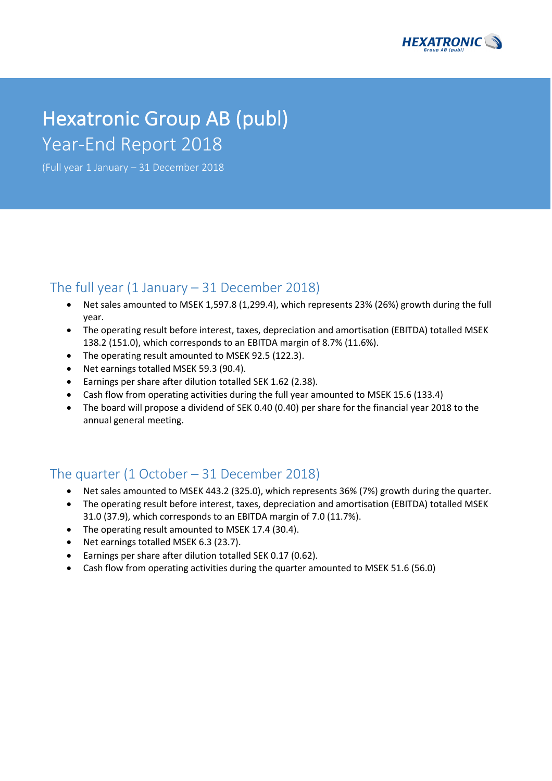

# Hexatronic Group AB (publ) Year-End Report 2018

(Full year 1 January – 31 December 2018

# The full year  $(1 \text{ January} - 31 \text{ December } 2018)$

- Net sales amounted to MSEK 1,597.8 (1,299.4), which represents 23% (26%) growth during the full year.
- The operating result before interest, taxes, depreciation and amortisation (EBITDA) totalled MSEK 138.2 (151.0), which corresponds to an EBITDA margin of 8.7% (11.6%).
- The operating result amounted to MSEK 92.5 (122.3).
- Net earnings totalled MSEK 59.3 (90.4).
- Earnings per share after dilution totalled SEK 1.62 (2.38).
- Cash flow from operating activities during the full year amounted to MSEK 15.6 (133.4)
- The board will propose a dividend of SEK 0.40 (0.40) per share for the financial year 2018 to the annual general meeting.

# The quarter (1 October – 31 December 2018)

- Net sales amounted to MSEK 443.2 (325.0), which represents 36% (7%) growth during the quarter.
- The operating result before interest, taxes, depreciation and amortisation (EBITDA) totalled MSEK 31.0 (37.9), which corresponds to an EBITDA margin of 7.0 (11.7%).
- The operating result amounted to MSEK 17.4 (30.4).
- Net earnings totalled MSEK 6.3 (23.7).
- Earnings per share after dilution totalled SEK 0.17 (0.62).
- Cash flow from operating activities during the quarter amounted to MSEK 51.6 (56.0)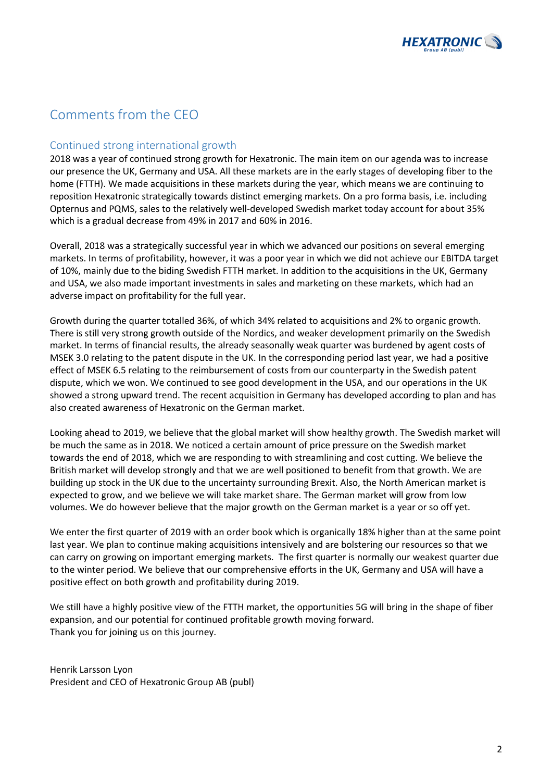

# Comments from the CEO

### Continued strong international growth

2018 was a year of continued strong growth for Hexatronic. The main item on our agenda was to increase our presence the UK, Germany and USA. All these markets are in the early stages of developing fiber to the home (FTTH). We made acquisitions in these markets during the year, which means we are continuing to reposition Hexatronic strategically towards distinct emerging markets. On a pro forma basis, i.e. including Opternus and PQMS, sales to the relatively well-developed Swedish market today account for about 35% which is a gradual decrease from 49% in 2017 and 60% in 2016.

Overall, 2018 was a strategically successful year in which we advanced our positions on several emerging markets. In terms of profitability, however, it was a poor year in which we did not achieve our EBITDA target of 10%, mainly due to the biding Swedish FTTH market. In addition to the acquisitions in the UK, Germany and USA, we also made important investments in sales and marketing on these markets, which had an adverse impact on profitability for the full year.

Growth during the quarter totalled 36%, of which 34% related to acquisitions and 2% to organic growth. There is still very strong growth outside of the Nordics, and weaker development primarily on the Swedish market. In terms of financial results, the already seasonally weak quarter was burdened by agent costs of MSEK 3.0 relating to the patent dispute in the UK. In the corresponding period last year, we had a positive effect of MSEK 6.5 relating to the reimbursement of costs from our counterparty in the Swedish patent dispute, which we won. We continued to see good development in the USA, and our operations in the UK showed a strong upward trend. The recent acquisition in Germany has developed according to plan and has also created awareness of Hexatronic on the German market.

Looking ahead to 2019, we believe that the global market will show healthy growth. The Swedish market will be much the same as in 2018. We noticed a certain amount of price pressure on the Swedish market towards the end of 2018, which we are responding to with streamlining and cost cutting. We believe the British market will develop strongly and that we are well positioned to benefit from that growth. We are building up stock in the UK due to the uncertainty surrounding Brexit. Also, the North American market is expected to grow, and we believe we will take market share. The German market will grow from low volumes. We do however believe that the major growth on the German market is a year or so off yet.

We enter the first quarter of 2019 with an order book which is organically 18% higher than at the same point last year. We plan to continue making acquisitions intensively and are bolstering our resources so that we can carry on growing on important emerging markets. The first quarter is normally our weakest quarter due to the winter period. We believe that our comprehensive efforts in the UK, Germany and USA will have a positive effect on both growth and profitability during 2019.

We still have a highly positive view of the FTTH market, the opportunities 5G will bring in the shape of fiber expansion, and our potential for continued profitable growth moving forward. Thank you for joining us on this journey.

Henrik Larsson Lyon President and CEO of Hexatronic Group AB (publ)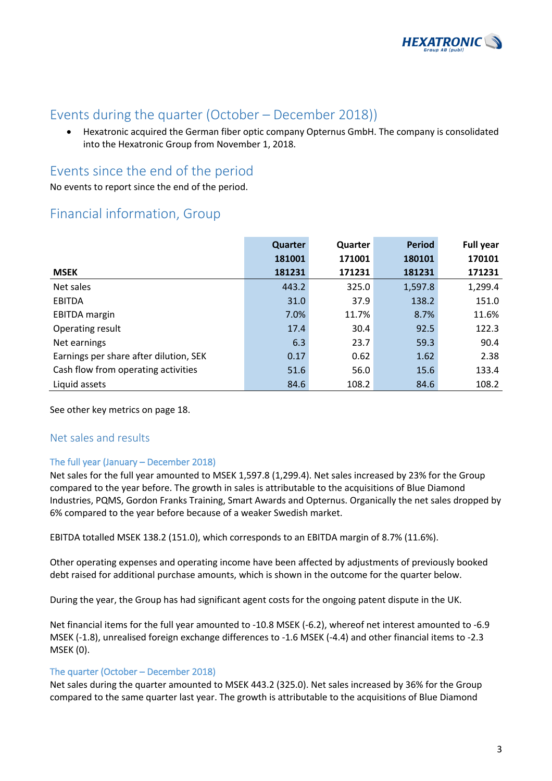

# Events during the quarter (October – December 2018))

• Hexatronic acquired the German fiber optic company Opternus GmbH. The company is consolidated into the Hexatronic Group from November 1, 2018.

# Events since the end of the period

No events to report since the end of the period.

# Financial information, Group

|                                        | Quarter | Quarter | <b>Period</b> | <b>Full year</b> |
|----------------------------------------|---------|---------|---------------|------------------|
|                                        | 181001  | 171001  | 180101        | 170101           |
| <b>MSEK</b>                            | 181231  | 171231  | 181231        | 171231           |
| Net sales                              | 443.2   | 325.0   | 1,597.8       | 1,299.4          |
| <b>EBITDA</b>                          | 31.0    | 37.9    | 138.2         | 151.0            |
| <b>EBITDA</b> margin                   | 7.0%    | 11.7%   | 8.7%          | 11.6%            |
| Operating result                       | 17.4    | 30.4    | 92.5          | 122.3            |
| Net earnings                           | 6.3     | 23.7    | 59.3          | 90.4             |
| Earnings per share after dilution, SEK | 0.17    | 0.62    | 1.62          | 2.38             |
| Cash flow from operating activities    | 51.6    | 56.0    | 15.6          | 133.4            |
| Liquid assets                          | 84.6    | 108.2   | 84.6          | 108.2            |

See other key metrics on page 18.

### Net sales and results

### The full year (January – December 2018)

Net sales for the full year amounted to MSEK 1,597.8 (1,299.4). Net sales increased by 23% for the Group compared to the year before. The growth in sales is attributable to the acquisitions of Blue Diamond Industries, PQMS, Gordon Franks Training, Smart Awards and Opternus. Organically the net sales dropped by 6% compared to the year before because of a weaker Swedish market.

EBITDA totalled MSEK 138.2 (151.0), which corresponds to an EBITDA margin of 8.7% (11.6%).

Other operating expenses and operating income have been affected by adjustments of previously booked debt raised for additional purchase amounts, which is shown in the outcome for the quarter below.

During the year, the Group has had significant agent costs for the ongoing patent dispute in the UK.

Net financial items for the full year amounted to -10.8 MSEK (-6.2), whereof net interest amounted to -6.9 MSEK (-1.8), unrealised foreign exchange differences to -1.6 MSEK (-4.4) and other financial items to -2.3 MSEK (0).

### The quarter (October – December 2018)

Net sales during the quarter amounted to MSEK 443.2 (325.0). Net sales increased by 36% for the Group compared to the same quarter last year. The growth is attributable to the acquisitions of Blue Diamond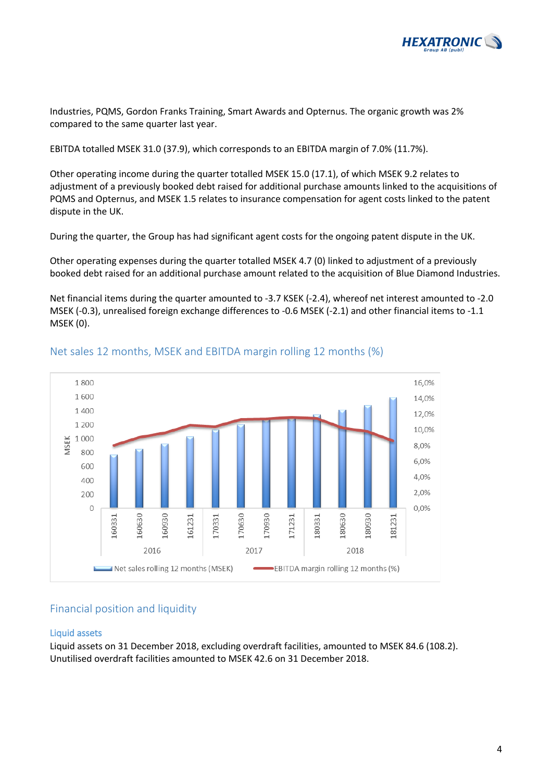

Industries, PQMS, Gordon Franks Training, Smart Awards and Opternus. The organic growth was 2% compared to the same quarter last year.

EBITDA totalled MSEK 31.0 (37.9), which corresponds to an EBITDA margin of 7.0% (11.7%).

Other operating income during the quarter totalled MSEK 15.0 (17.1), of which MSEK 9.2 relates to adjustment of a previously booked debt raised for additional purchase amounts linked to the acquisitions of PQMS and Opternus, and MSEK 1.5 relates to insurance compensation for agent costs linked to the patent dispute in the UK.

During the quarter, the Group has had significant agent costs for the ongoing patent dispute in the UK.

Other operating expenses during the quarter totalled MSEK 4.7 (0) linked to adjustment of a previously booked debt raised for an additional purchase amount related to the acquisition of Blue Diamond Industries.

Net financial items during the quarter amounted to -3.7 KSEK (-2.4), whereof net interest amounted to -2.0 MSEK (-0.3), unrealised foreign exchange differences to -0.6 MSEK (-2.1) and other financial items to -1.1 MSEK (0).



Net sales 12 months, MSEK and EBITDA margin rolling 12 months (%)

### Financial position and liquidity

### Liquid assets

Liquid assets on 31 December 2018, excluding overdraft facilities, amounted to MSEK 84.6 (108.2). Unutilised overdraft facilities amounted to MSEK 42.6 on 31 December 2018.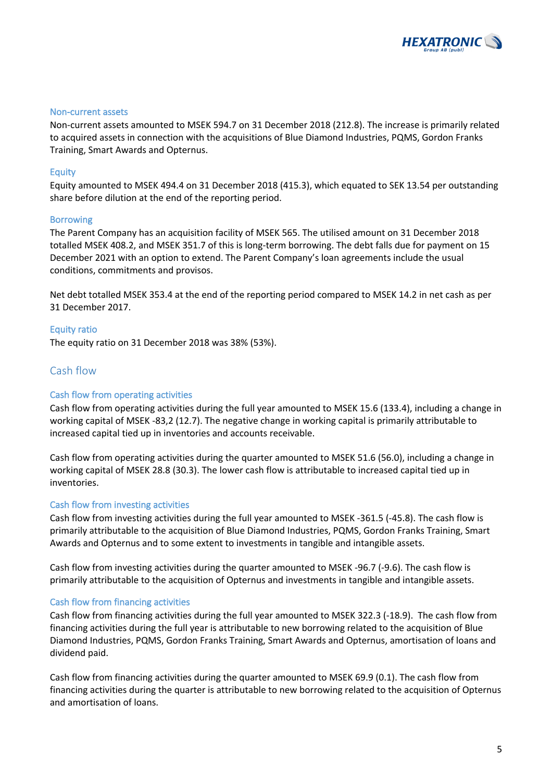

#### Non-current assets

Non-current assets amounted to MSEK 594.7 on 31 December 2018 (212.8). The increase is primarily related to acquired assets in connection with the acquisitions of Blue Diamond Industries, PQMS, Gordon Franks Training, Smart Awards and Opternus.

#### Equity

Equity amounted to MSEK 494.4 on 31 December 2018 (415.3), which equated to SEK 13.54 per outstanding share before dilution at the end of the reporting period.

#### Borrowing

The Parent Company has an acquisition facility of MSEK 565. The utilised amount on 31 December 2018 totalled MSEK 408.2, and MSEK 351.7 of this is long-term borrowing. The debt falls due for payment on 15 December 2021 with an option to extend. The Parent Company's loan agreements include the usual conditions, commitments and provisos.

Net debt totalled MSEK 353.4 at the end of the reporting period compared to MSEK 14.2 in net cash as per 31 December 2017.

#### Equity ratio

The equity ratio on 31 December 2018 was 38% (53%).

### Cash flow

#### Cash flow from operating activities

Cash flow from operating activities during the full year amounted to MSEK 15.6 (133.4), including a change in working capital of MSEK -83,2 (12.7). The negative change in working capital is primarily attributable to increased capital tied up in inventories and accounts receivable.

Cash flow from operating activities during the quarter amounted to MSEK 51.6 (56.0), including a change in working capital of MSEK 28.8 (30.3). The lower cash flow is attributable to increased capital tied up in inventories.

#### Cash flow from investing activities

Cash flow from investing activities during the full year amounted to MSEK -361.5 (-45.8). The cash flow is primarily attributable to the acquisition of Blue Diamond Industries, PQMS, Gordon Franks Training, Smart Awards and Opternus and to some extent to investments in tangible and intangible assets.

Cash flow from investing activities during the quarter amounted to MSEK -96.7 (-9.6). The cash flow is primarily attributable to the acquisition of Opternus and investments in tangible and intangible assets.

#### Cash flow from financing activities

Cash flow from financing activities during the full year amounted to MSEK 322.3 (-18.9). The cash flow from financing activities during the full year is attributable to new borrowing related to the acquisition of Blue Diamond Industries, PQMS, Gordon Franks Training, Smart Awards and Opternus, amortisation of loans and dividend paid.

Cash flow from financing activities during the quarter amounted to MSEK 69.9 (0.1). The cash flow from financing activities during the quarter is attributable to new borrowing related to the acquisition of Opternus and amortisation of loans.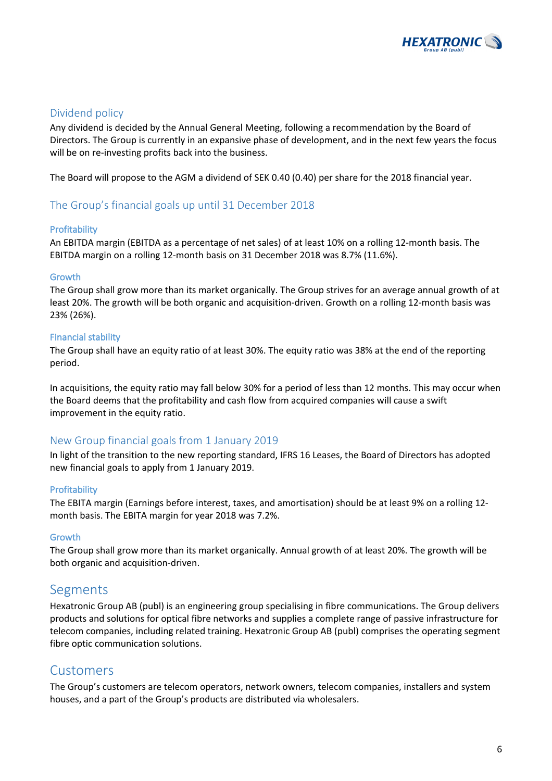

### Dividend policy

Any dividend is decided by the Annual General Meeting, following a recommendation by the Board of Directors. The Group is currently in an expansive phase of development, and in the next few years the focus will be on re-investing profits back into the business.

The Board will propose to the AGM a dividend of SEK 0.40 (0.40) per share for the 2018 financial year.

### The Group's financial goals up until 31 December 2018

### Profitability

An EBITDA margin (EBITDA as a percentage of net sales) of at least 10% on a rolling 12-month basis. The EBITDA margin on a rolling 12-month basis on 31 December 2018 was 8.7% (11.6%).

### Growth

The Group shall grow more than its market organically. The Group strives for an average annual growth of at least 20%. The growth will be both organic and acquisition-driven. Growth on a rolling 12-month basis was 23% (26%).

### Financial stability

The Group shall have an equity ratio of at least 30%. The equity ratio was 38% at the end of the reporting period.

In acquisitions, the equity ratio may fall below 30% for a period of less than 12 months. This may occur when the Board deems that the profitability and cash flow from acquired companies will cause a swift improvement in the equity ratio.

### New Group financial goals from 1 January 2019

In light of the transition to the new reporting standard, IFRS 16 Leases, the Board of Directors has adopted new financial goals to apply from 1 January 2019.

### **Profitability**

The EBITA margin (Earnings before interest, taxes, and amortisation) should be at least 9% on a rolling 12 month basis. The EBITA margin for year 2018 was 7.2%.

### Growth

The Group shall grow more than its market organically. Annual growth of at least 20%. The growth will be both organic and acquisition-driven.

### Segments

Hexatronic Group AB (publ) is an engineering group specialising in fibre communications. The Group delivers products and solutions for optical fibre networks and supplies a complete range of passive infrastructure for telecom companies, including related training. Hexatronic Group AB (publ) comprises the operating segment fibre optic communication solutions.

### Customers

The Group's customers are telecom operators, network owners, telecom companies, installers and system houses, and a part of the Group's products are distributed via wholesalers.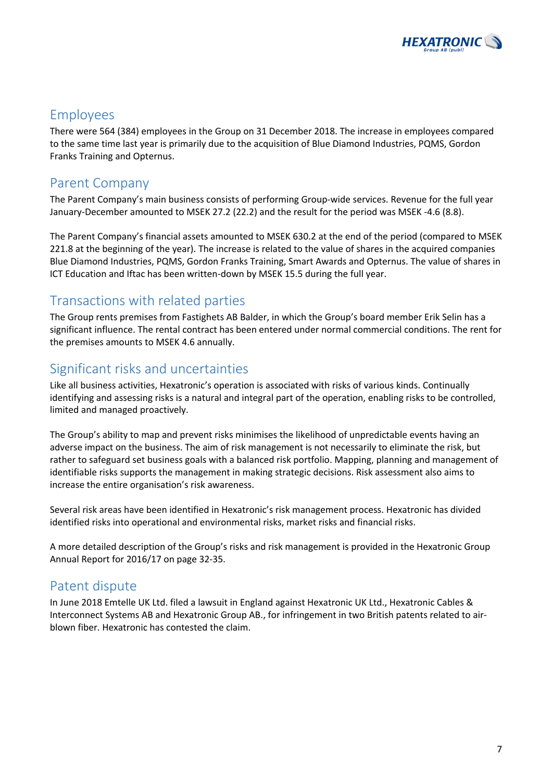

# Employees

There were 564 (384) employees in the Group on 31 December 2018. The increase in employees compared to the same time last year is primarily due to the acquisition of Blue Diamond Industries, PQMS, Gordon Franks Training and Opternus.

# Parent Company

The Parent Company's main business consists of performing Group-wide services. Revenue for the full year January-December amounted to MSEK 27.2 (22.2) and the result for the period was MSEK -4.6 (8.8).

The Parent Company's financial assets amounted to MSEK 630.2 at the end of the period (compared to MSEK 221.8 at the beginning of the year). The increase is related to the value of shares in the acquired companies Blue Diamond Industries, PQMS, Gordon Franks Training, Smart Awards and Opternus. The value of shares in ICT Education and Iftac has been written-down by MSEK 15.5 during the full year.

# Transactions with related parties

The Group rents premises from Fastighets AB Balder, in which the Group's board member Erik Selin has a significant influence. The rental contract has been entered under normal commercial conditions. The rent for the premises amounts to MSEK 4.6 annually.

# Significant risks and uncertainties

Like all business activities, Hexatronic's operation is associated with risks of various kinds. Continually identifying and assessing risks is a natural and integral part of the operation, enabling risks to be controlled, limited and managed proactively.

The Group's ability to map and prevent risks minimises the likelihood of unpredictable events having an adverse impact on the business. The aim of risk management is not necessarily to eliminate the risk, but rather to safeguard set business goals with a balanced risk portfolio. Mapping, planning and management of identifiable risks supports the management in making strategic decisions. Risk assessment also aims to increase the entire organisation's risk awareness.

Several risk areas have been identified in Hexatronic's risk management process. Hexatronic has divided identified risks into operational and environmental risks, market risks and financial risks.

A more detailed description of the Group's risks and risk management is provided in the Hexatronic Group Annual Report for 2016/17 on page 32-35.

# Patent dispute

In June 2018 Emtelle UK Ltd. filed a lawsuit in England against Hexatronic UK Ltd., Hexatronic Cables & Interconnect Systems AB and Hexatronic Group AB., for infringement in two British patents related to airblown fiber. Hexatronic has contested the claim.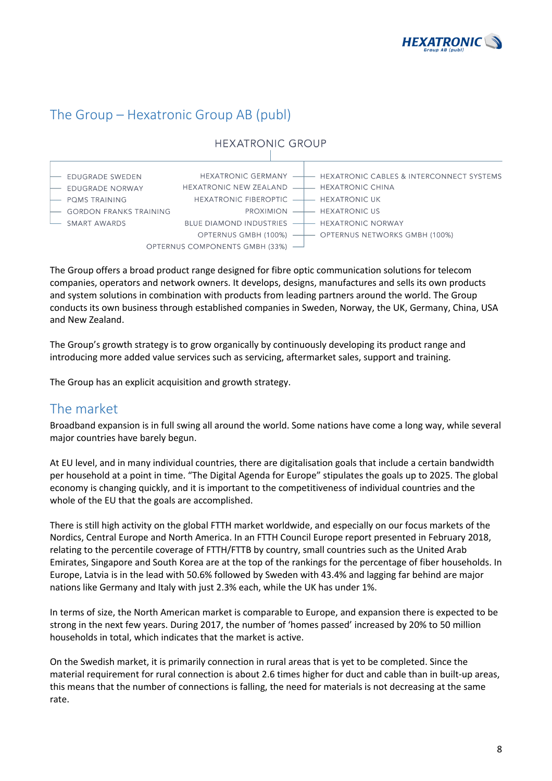

# The Group – Hexatronic Group AB (publ)



The Group offers a broad product range designed for fibre optic communication solutions for telecom companies, operators and network owners. It develops, designs, manufactures and sells its own products and system solutions in combination with products from leading partners around the world. The Group conducts its own business through established companies in Sweden, Norway, the UK, Germany, China, USA and New Zealand.

The Group's growth strategy is to grow organically by continuously developing its product range and introducing more added value services such as servicing, aftermarket sales, support and training.

The Group has an explicit acquisition and growth strategy.

# The market

Broadband expansion is in full swing all around the world. Some nations have come a long way, while several major countries have barely begun.

At EU level, and in many individual countries, there are digitalisation goals that include a certain bandwidth per household at a point in time. "The Digital Agenda for Europe" stipulates the goals up to 2025. The global economy is changing quickly, and it is important to the competitiveness of individual countries and the whole of the EU that the goals are accomplished.

There is still high activity on the global FTTH market worldwide, and especially on our focus markets of the Nordics, Central Europe and North America. In an FTTH Council Europe report presented in February 2018, relating to the percentile coverage of FTTH/FTTB by country, small countries such as the United Arab Emirates, Singapore and South Korea are at the top of the rankings for the percentage of fiber households. In Europe, Latvia is in the lead with 50.6% followed by Sweden with 43.4% and lagging far behind are major nations like Germany and Italy with just 2.3% each, while the UK has under 1%.

In terms of size, the North American market is comparable to Europe, and expansion there is expected to be strong in the next few years. During 2017, the number of 'homes passed' increased by 20% to 50 million households in total, which indicates that the market is active.

On the Swedish market, it is primarily connection in rural areas that is yet to be completed. Since the material requirement for rural connection is about 2.6 times higher for duct and cable than in built-up areas, this means that the number of connections is falling, the need for materials is not decreasing at the same rate.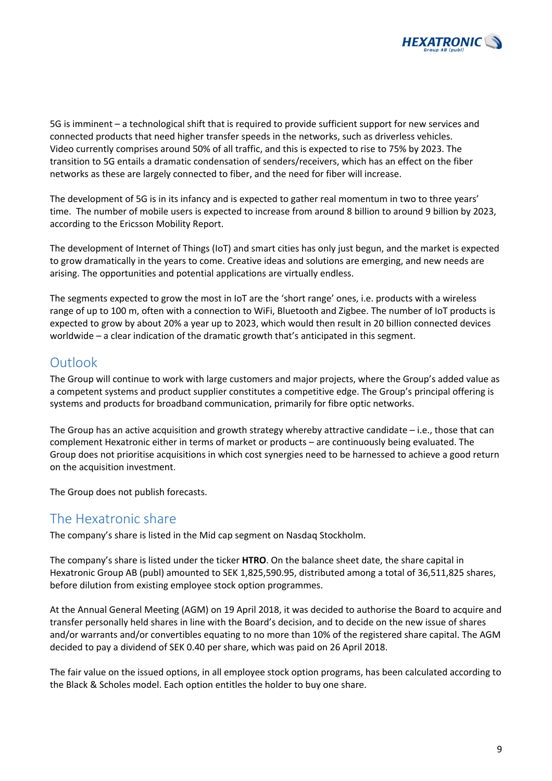

5G is imminent – a technological shift that is required to provide sufficient support for new services and connected products that need higher transfer speeds in the networks, such as driverless vehicles. Video currently comprises around 50% of all traffic, and this is expected to rise to 75% by 2023. The transition to 5G entails a dramatic condensation of senders/receivers, which has an effect on the fiber networks as these are largely connected to fiber, and the need for fiber will increase.

The development of 5G is in its infancy and is expected to gather real momentum in two to three years' time. The number of mobile users is expected to increase from around 8 billion to around 9 billion by 2023, according to the Ericsson Mobility Report.

The development of Internet of Things (IoT) and smart cities has only just begun, and the market is expected to grow dramatically in the years to come. Creative ideas and solutions are emerging, and new needs are arising. The opportunities and potential applications are virtually endless.

The segments expected to grow the most in IoT are the 'short range' ones, i.e. products with a wireless range of up to 100 m, often with a connection to WiFi, Bluetooth and Zigbee. The number of IoT products is expected to grow by about 20% a year up to 2023, which would then result in 20 billion connected devices worldwide – a clear indication of the dramatic growth that's anticipated in this segment.

# Outlook

The Group will continue to work with large customers and major projects, where the Group's added value as a competent systems and product supplier constitutes a competitive edge. The Group's principal offering is systems and products for broadband communication, primarily for fibre optic networks.

The Group has an active acquisition and growth strategy whereby attractive candidate – i.e., those that can complement Hexatronic either in terms of market or products – are continuously being evaluated. The Group does not prioritise acquisitions in which cost synergies need to be harnessed to achieve a good return on the acquisition investment.

The Group does not publish forecasts.

### The Hexatronic share

The company's share is listed in the Mid cap segment on Nasdaq Stockholm.

The company's share is listed under the ticker **HTRO**. On the balance sheet date, the share capital in Hexatronic Group AB (publ) amounted to SEK 1,825,590.95, distributed among a total of 36,511,825 shares, before dilution from existing employee stock option programmes.

At the Annual General Meeting (AGM) on 19 April 2018, it was decided to authorise the Board to acquire and transfer personally held shares in line with the Board's decision, and to decide on the new issue of shares and/or warrants and/or convertibles equating to no more than 10% of the registered share capital. The AGM decided to pay a dividend of SEK 0.40 per share, which was paid on 26 April 2018.

The fair value on the issued options, in all employee stock option programs, has been calculated according to the Black & Scholes model. Each option entitles the holder to buy one share.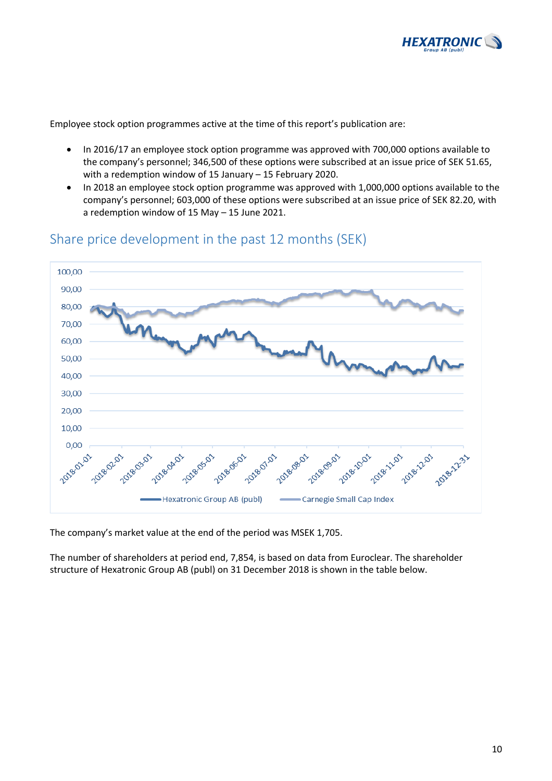

Employee stock option programmes active at the time of this report's publication are:

- In 2016/17 an employee stock option programme was approved with 700,000 options available to the company's personnel; 346,500 of these options were subscribed at an issue price of SEK 51.65, with a redemption window of 15 January – 15 February 2020.
- In 2018 an employee stock option programme was approved with 1,000,000 options available to the company's personnel; 603,000 of these options were subscribed at an issue price of SEK 82.20, with a redemption window of 15 May – 15 June 2021.



# Share price development in the past 12 months (SEK)

The company's market value at the end of the period was MSEK 1,705.

The number of shareholders at period end, 7,854, is based on data from Euroclear. The shareholder structure of Hexatronic Group AB (publ) on 31 December 2018 is shown in the table below.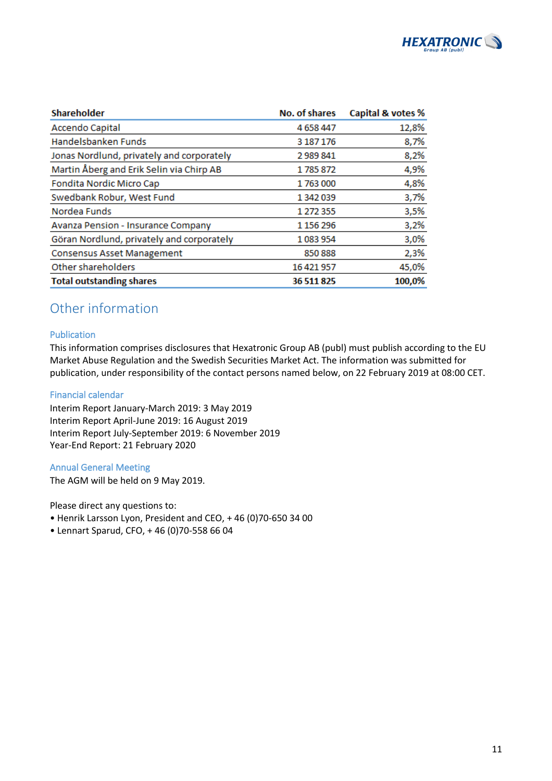

| <b>Shareholder</b>                        | <b>No. of shares</b> | Capital & votes % |
|-------------------------------------------|----------------------|-------------------|
| <b>Accendo Capital</b>                    | 4 658 447            | 12,8%             |
| Handelsbanken Funds                       | 3 187 176            | 8,7%              |
| Jonas Nordlund, privately and corporately | 2989841              | 8,2%              |
| Martin Åberg and Erik Selin via Chirp AB  | 1785872              | 4,9%              |
| Fondita Nordic Micro Cap                  | 1763000              | 4,8%              |
| Swedbank Robur, West Fund                 | 1 342 039            | 3,7%              |
| Nordea Funds                              | 1 272 355            | 3,5%              |
| Avanza Pension - Insurance Company        | 1 156 296            | 3,2%              |
| Göran Nordlund, privately and corporately | 1083954              | 3,0%              |
| <b>Consensus Asset Management</b>         | 850888               | 2,3%              |
| Other shareholders                        | 16 421 957           | 45,0%             |
| <b>Total outstanding shares</b>           | 36 511 825           | 100,0%            |

# Other information

### Publication

This information comprises disclosures that Hexatronic Group AB (publ) must publish according to the EU Market Abuse Regulation and the Swedish Securities Market Act. The information was submitted for publication, under responsibility of the contact persons named below, on 22 February 2019 at 08:00 CET.

### Financial calendar

Interim Report January-March 2019: 3 May 2019 Interim Report April-June 2019: 16 August 2019 Interim Report July-September 2019: 6 November 2019 Year-End Report: 21 February 2020

### Annual General Meeting

The AGM will be held on 9 May 2019.

Please direct any questions to:

- Henrik Larsson Lyon, President and CEO, + 46 (0)70-650 34 00
- Lennart Sparud, CFO, + 46 (0)70-558 66 04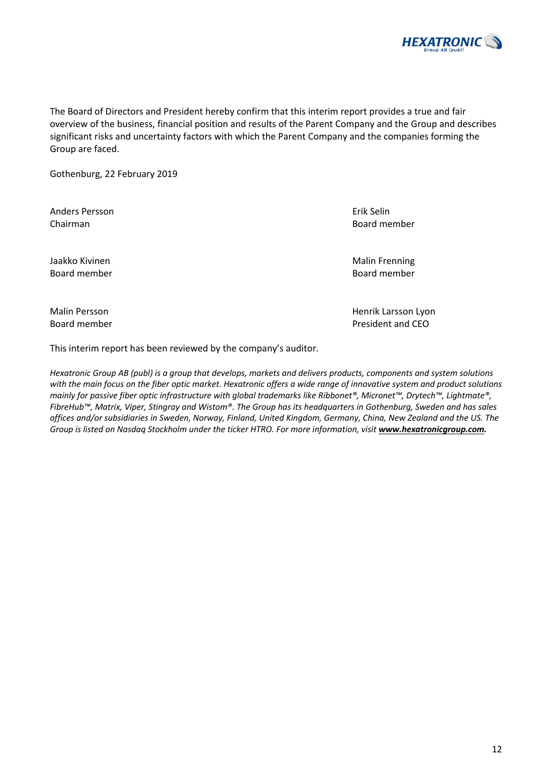

The Board of Directors and President hereby confirm that this interim report provides a true and fair overview of the business, financial position and results of the Parent Company and the Group and describes significant risks and uncertainty factors with which the Parent Company and the companies forming the Group are faced.

Gothenburg, 22 February 2019

Anders Persson Erik Selin Chairman Board member

Jaakko Kivinen Malin Frenning Board member Board member

Malin Persson **Malin Persson Lyon Henrik Larsson Lyon** 

Board member **Board member President and CEO** 

This interim report has been reviewed by the company's auditor.

*Hexatronic Group AB (publ) is a group that develops, markets and delivers products, components and system solutions with the main focus on the fiber optic market. Hexatronic offers a wide range of innovative system and product solutions mainly for passive fiber optic infrastructure with global trademarks like Ribbonet®, Micronet™, Drytech™, Lightmate®, FibreHub™, Matrix, Viper, Stingray and Wistom®. The Group has its headquarters in Gothenburg, Sweden and has sales offices and/or subsidiaries in Sweden, Norway, Finland, United Kingdom, Germany, China, New Zealand and the US. The*  Group is listed on Nasdaq Stockholm under the ticker HTRO. For more information, visit **www.hexatronicgroup.com.** 

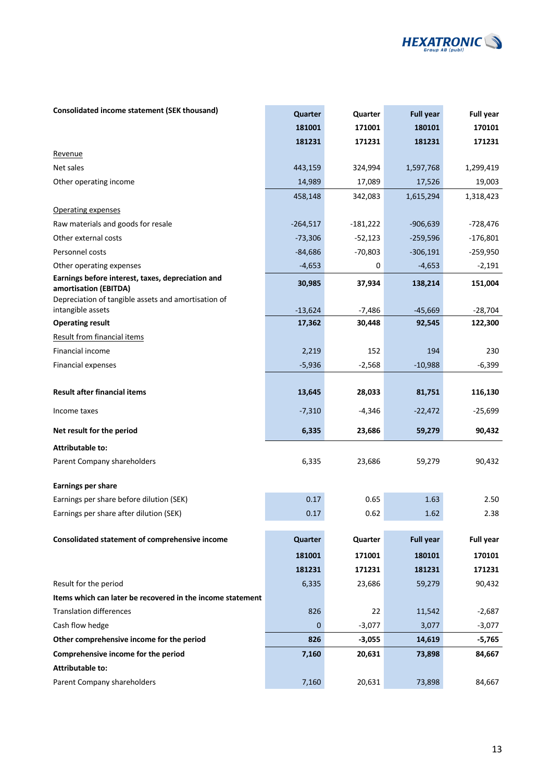

### **Consolidated income statement (SEK thousand) <b>According to Accord PowerFull year Consolidated income statement (SEK thousand) Quarter Quarter Consolidated income statement (SEK thousand)**

|                                                                            | 181001              | 171001             | 180101              | 170101               |
|----------------------------------------------------------------------------|---------------------|--------------------|---------------------|----------------------|
|                                                                            | 181231              | 171231             | 181231              | 171231               |
| Revenue                                                                    |                     |                    |                     |                      |
| Net sales                                                                  | 443,159             | 324,994            | 1,597,768           | 1,299,419            |
| Other operating income                                                     | 14,989              | 17,089             | 17,526              | 19,003               |
|                                                                            | 458,148             | 342,083            | 1,615,294           | 1,318,423            |
| Operating expenses                                                         |                     |                    |                     |                      |
| Raw materials and goods for resale                                         | $-264,517$          | $-181,222$         | $-906,639$          | $-728,476$           |
| Other external costs                                                       | $-73,306$           | $-52,123$          | $-259,596$          | $-176,801$           |
| Personnel costs                                                            | $-84,686$           | $-70,803$          | $-306,191$          | $-259,950$           |
| Other operating expenses                                                   | $-4,653$            | 0                  | $-4,653$            | $-2,191$             |
| Earnings before interest, taxes, depreciation and<br>amortisation (EBITDA) | 30,985              | 37,934             | 138,214             | 151,004              |
| Depreciation of tangible assets and amortisation of                        |                     |                    |                     |                      |
| intangible assets<br><b>Operating result</b>                               | $-13,624$<br>17,362 | $-7,486$<br>30,448 | $-45,669$<br>92,545 | $-28,704$<br>122,300 |
| <b>Result from financial items</b>                                         |                     |                    |                     |                      |
| <b>Financial income</b>                                                    | 2,219               | 152                | 194                 | 230                  |
|                                                                            | $-5,936$            |                    | $-10,988$           |                      |
| <b>Financial expenses</b>                                                  |                     | $-2,568$           |                     | $-6,399$             |
| <b>Result after financial items</b>                                        | 13,645              | 28,033             | 81,751              | 116,130              |
| Income taxes                                                               | $-7,310$            | $-4,346$           | $-22,472$           | $-25,699$            |
| Net result for the period                                                  | 6,335               | 23,686             | 59,279              | 90,432               |
| <b>Attributable to:</b>                                                    |                     |                    |                     |                      |
| Parent Company shareholders                                                | 6,335               | 23,686             | 59,279              | 90,432               |
| <b>Earnings per share</b>                                                  |                     |                    |                     |                      |
| Earnings per share before dilution (SEK)                                   | 0.17                | 0.65               | 1.63                | 2.50                 |
| Earnings per share after dilution (SEK)                                    | 0.17                | 0.62               | 1.62                | 2.38                 |
| Consolidated statement of comprehensive income                             | Quarter             | Quarter            | <b>Full year</b>    | <b>Full year</b>     |
|                                                                            | 181001              | 171001             | 180101              | 170101               |
|                                                                            | 181231              | 171231             | 181231              | 171231               |
| Result for the period                                                      | 6,335               | 23,686             | 59,279              | 90,432               |
| Items which can later be recovered in the income statement                 |                     |                    |                     |                      |
| <b>Translation differences</b>                                             | 826                 | 22                 | 11,542              | $-2,687$             |
| Cash flow hedge                                                            | $\mathbf{0}$        | $-3,077$           | 3,077               | $-3,077$             |
| Other comprehensive income for the period                                  | 826                 | $-3,055$           | 14,619              | $-5,765$             |
| Comprehensive income for the period                                        | 7,160               | 20,631             | 73,898              | 84,667               |
| <b>Attributable to:</b>                                                    |                     |                    |                     |                      |
| Parent Company shareholders                                                | 7,160               | 20,631             | 73,898              | 84,667               |
|                                                                            |                     |                    |                     |                      |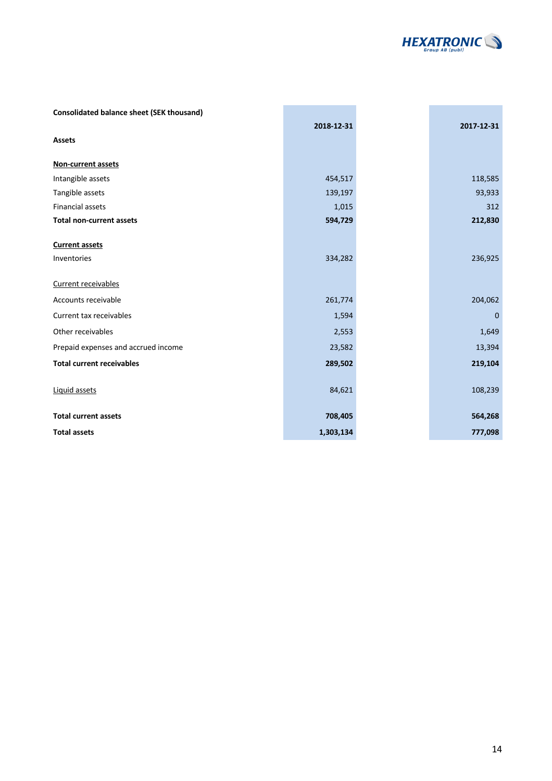

| <b>Consolidated balance sheet (SEK thousand)</b> |            |            |
|--------------------------------------------------|------------|------------|
|                                                  | 2018-12-31 | 2017-12-31 |
| <b>Assets</b>                                    |            |            |
| Non-current assets                               |            |            |
| Intangible assets                                | 454,517    | 118,585    |
| Tangible assets                                  | 139,197    | 93,933     |
| <b>Financial assets</b>                          | 1,015      | 312        |
| <b>Total non-current assets</b>                  | 594,729    | 212,830    |
| <b>Current assets</b>                            |            |            |
| Inventories                                      | 334,282    | 236,925    |
| Current receivables                              |            |            |
| Accounts receivable                              | 261,774    | 204,062    |
| Current tax receivables                          | 1,594      | $\Omega$   |
| Other receivables                                | 2,553      | 1,649      |
| Prepaid expenses and accrued income              | 23,582     | 13,394     |
| <b>Total current receivables</b>                 | 289,502    | 219,104    |
| Liquid assets                                    | 84,621     | 108,239    |
| <b>Total current assets</b>                      | 708,405    | 564,268    |
| <b>Total assets</b>                              | 1,303,134  | 777,098    |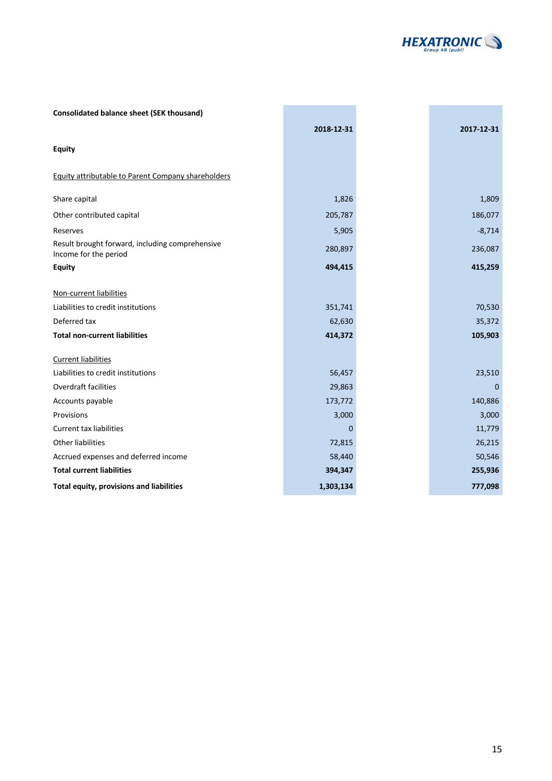

÷

i<br>L

| <b>Consolidated balance sheet (SEK thousand)</b>                         |            |            |
|--------------------------------------------------------------------------|------------|------------|
|                                                                          | 2018-12-31 | 2017-12-31 |
| <b>Equity</b>                                                            |            |            |
| Equity attributable to Parent Company shareholders                       |            |            |
| Share capital                                                            | 1,826      | 1,809      |
| Other contributed capital                                                | 205,787    | 186,077    |
| Reserves                                                                 | 5,905      | $-8,714$   |
| Result brought forward, including comprehensive<br>Income for the period | 280,897    | 236,087    |
| <b>Equity</b>                                                            | 494,415    | 415,259    |
| Non-current liabilities                                                  |            |            |
| Liabilities to credit institutions                                       | 351,741    | 70,530     |
| Deferred tax                                                             | 62,630     | 35,372     |
| <b>Total non-current liabilities</b>                                     | 414,372    | 105,903    |
| <b>Current liabilities</b>                                               |            |            |
| Liabilities to credit institutions                                       | 56,457     | 23,510     |
| <b>Overdraft facilities</b>                                              | 29,863     | $\Omega$   |
| Accounts payable                                                         | 173,772    | 140,886    |
| Provisions                                                               | 3,000      | 3,000      |
| <b>Current tax liabilities</b>                                           | $\Omega$   | 11,779     |
| <b>Other liabilities</b>                                                 | 72,815     | 26,215     |
| Accrued expenses and deferred income                                     | 58,440     | 50,546     |
| <b>Total current liabilities</b>                                         | 394,347    | 255,936    |
| Total equity, provisions and liabilities                                 | 1,303,134  | 777,098    |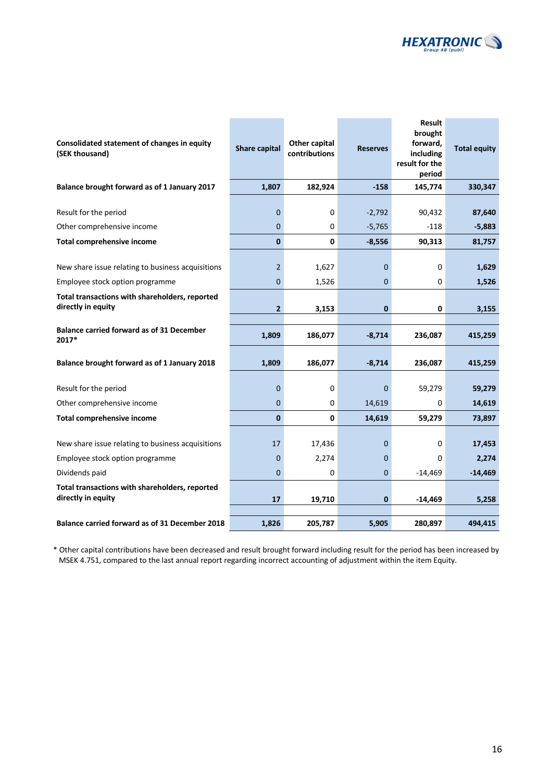

| Consolidated statement of changes in equity<br>(SEK thousand)                        | <b>Share capital</b>             | Other capital<br>contributions | <b>Reserves</b> | Result<br>brought<br>forward,<br>including<br>result for the<br>period | <b>Total equity</b> |
|--------------------------------------------------------------------------------------|----------------------------------|--------------------------------|-----------------|------------------------------------------------------------------------|---------------------|
| Balance brought forward as of 1 January 2017                                         | 1,807                            | 182,924                        | $-158$          | 145,774                                                                | 330,347             |
| Result for the period                                                                | $\mathbf 0$                      | 0                              | $-2,792$        | 90,432                                                                 | 87,640              |
| Other comprehensive income                                                           | $\mathbf 0$                      | 0                              | $-5,765$        | $-118$                                                                 | $-5,883$            |
| <b>Total comprehensive income</b>                                                    | $\bf{0}$                         | 0                              | $-8,556$        | 90,313                                                                 | 81,757              |
| New share issue relating to business acquisitions<br>Employee stock option programme | $\overline{2}$<br>$\overline{0}$ | 1,627<br>1,526                 | 0<br>0          | 0<br>0                                                                 | 1,629<br>1,526      |
| Total transactions with shareholders, reported<br>directly in equity                 | $\overline{\mathbf{2}}$          | 3,153                          | 0               | 0                                                                      | 3,155               |
| <b>Balance carried forward as of 31 December</b><br>2017*                            | 1,809                            | 186,077                        | $-8,714$        | 236,087                                                                | 415,259             |
| Balance brought forward as of 1 January 2018                                         | 1,809                            | 186,077                        | $-8,714$        | 236,087                                                                | 415,259             |
| Result for the period                                                                | 0                                | 0                              | 0               | 59,279                                                                 | 59,279              |
| Other comprehensive income                                                           | $\overline{0}$                   | 0                              | 14,619          | 0                                                                      | 14,619              |
| <b>Total comprehensive income</b>                                                    | $\mathbf{0}$                     | $\mathbf 0$                    | 14,619          | 59,279                                                                 | 73,897              |
| New share issue relating to business acquisitions                                    | 17                               | 17,436                         | 0               | 0                                                                      | 17,453              |
| Employee stock option programme                                                      | $\mathbf 0$                      | 2,274                          | 0               | 0                                                                      | 2,274               |
| Dividends paid                                                                       | $\overline{0}$                   | 0                              | 0               | $-14,469$                                                              | $-14,469$           |
| Total transactions with shareholders, reported<br>directly in equity                 | 17                               | 19,710                         | 0               | $-14,469$                                                              | 5,258               |
| Balance carried forward as of 31 December 2018                                       | 1,826                            | 205,787                        | 5,905           | 280,897                                                                | 494,415             |

\* Other capital contributions have been decreased and result brought forward including result for the period has been increased by MSEK 4.751, compared to the last annual report regarding incorrect accounting of adjustment within the item Equity.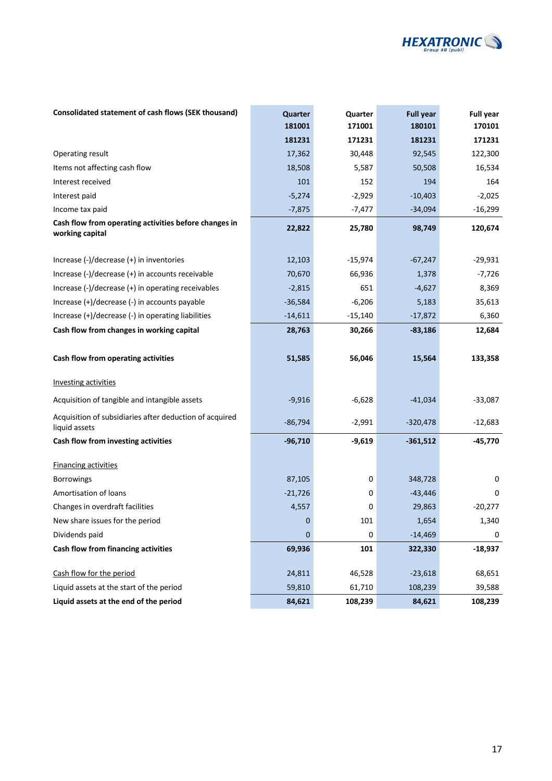

| Consolidated statement of cash flows (SEK thousand)                      | Quarter<br>181001 | Quarter<br>171001 | <b>Full year</b><br>180101 | <b>Full year</b><br>170101 |
|--------------------------------------------------------------------------|-------------------|-------------------|----------------------------|----------------------------|
|                                                                          | 181231            | 171231            | 181231                     | 171231                     |
| Operating result                                                         | 17,362            | 30,448            | 92,545                     | 122,300                    |
| Items not affecting cash flow                                            | 18,508            | 5,587             | 50,508                     | 16,534                     |
| Interest received                                                        | 101               | 152               | 194                        | 164                        |
| Interest paid                                                            | $-5,274$          | $-2,929$          | $-10,403$                  | $-2,025$                   |
| Income tax paid                                                          | $-7,875$          | $-7,477$          | $-34,094$                  | $-16,299$                  |
| Cash flow from operating activities before changes in<br>working capital | 22,822            | 25,780            | 98,749                     | 120,674                    |
| Increase $(-)/$ decrease $(+)$ in inventories                            | 12,103            | $-15,974$         | $-67,247$                  | $-29,931$                  |
| Increase (-)/decrease (+) in accounts receivable                         | 70,670            | 66,936            | 1,378                      | $-7,726$                   |
| Increase (-)/decrease (+) in operating receivables                       | $-2,815$          | 651               | $-4,627$                   | 8,369                      |
| Increase (+)/decrease (-) in accounts payable                            | $-36,584$         | $-6,206$          | 5,183                      | 35,613                     |
| Increase (+)/decrease (-) in operating liabilities                       | $-14,611$         | $-15,140$         | $-17,872$                  | 6,360                      |
| Cash flow from changes in working capital                                | 28,763            | 30,266            | $-83,186$                  | 12,684                     |
| Cash flow from operating activities                                      | 51,585            | 56,046            | 15,564                     | 133,358                    |
| <b>Investing activities</b>                                              |                   |                   |                            |                            |
| Acquisition of tangible and intangible assets                            | $-9,916$          | $-6,628$          | $-41,034$                  | $-33,087$                  |
| Acquisition of subsidiaries after deduction of acquired<br>liquid assets | $-86,794$         | $-2,991$          | $-320,478$                 | $-12,683$                  |
| Cash flow from investing activities                                      | $-96,710$         | $-9,619$          | $-361,512$                 | $-45,770$                  |
| <b>Financing activities</b>                                              |                   |                   |                            |                            |
| Borrowings                                                               | 87,105            | 0                 | 348,728                    | 0                          |
| Amortisation of loans                                                    | $-21,726$         | 0                 | $-43,446$                  | 0                          |
| Changes in overdraft facilities                                          | 4,557             | 0                 | 29,863                     | $-20,277$                  |
| New share issues for the period                                          | 0                 | 101               | 1,654                      | 1,340                      |
| Dividends paid                                                           | $\mathbf 0$       | 0                 | $-14,469$                  | 0                          |
| Cash flow from financing activities                                      | 69,936            | 101               | 322,330                    | $-18,937$                  |
| Cash flow for the period                                                 | 24,811            | 46,528            | $-23,618$                  | 68,651                     |
| Liquid assets at the start of the period                                 | 59,810            | 61,710            | 108,239                    | 39,588                     |
| Liquid assets at the end of the period                                   | 84,621            | 108,239           | 84,621                     | 108,239                    |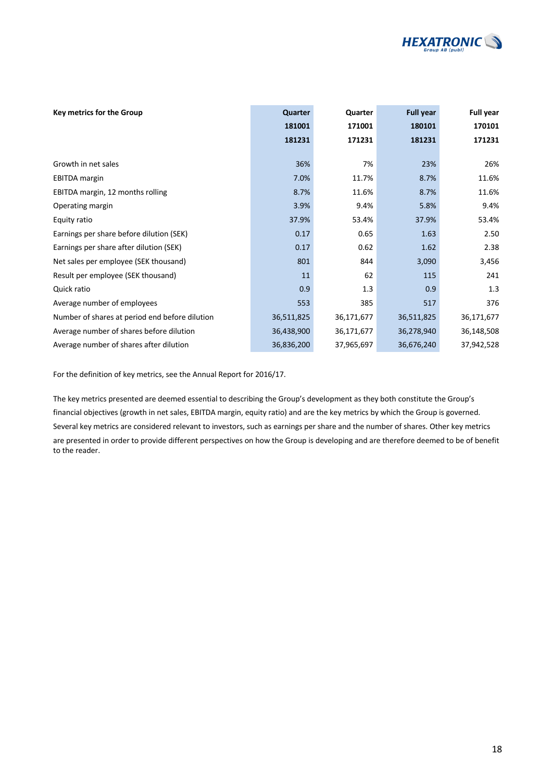

| Key metrics for the Group                      | Quarter    | Quarter    | <b>Full year</b> | Full year  |
|------------------------------------------------|------------|------------|------------------|------------|
|                                                | 181001     | 171001     | 180101           | 170101     |
|                                                | 181231     | 171231     | 181231           | 171231     |
|                                                |            |            |                  |            |
| Growth in net sales                            | 36%        | 7%         | 23%              | 26%        |
| <b>EBITDA</b> margin                           | 7.0%       | 11.7%      | 8.7%             | 11.6%      |
| EBITDA margin, 12 months rolling               | 8.7%       | 11.6%      | 8.7%             | 11.6%      |
| Operating margin                               | 3.9%       | 9.4%       | 5.8%             | 9.4%       |
| Equity ratio                                   | 37.9%      | 53.4%      | 37.9%            | 53.4%      |
| Earnings per share before dilution (SEK)       | 0.17       | 0.65       | 1.63             | 2.50       |
| Earnings per share after dilution (SEK)        | 0.17       | 0.62       | 1.62             | 2.38       |
| Net sales per employee (SEK thousand)          | 801        | 844        | 3,090            | 3,456      |
| Result per employee (SEK thousand)             | 11         | 62         | 115              | 241        |
| Quick ratio                                    | 0.9        | 1.3        | 0.9              | 1.3        |
| Average number of employees                    | 553        | 385        | 517              | 376        |
| Number of shares at period end before dilution | 36,511,825 | 36,171,677 | 36,511,825       | 36,171,677 |
| Average number of shares before dilution       | 36,438,900 | 36,171,677 | 36,278,940       | 36,148,508 |
| Average number of shares after dilution        | 36,836,200 | 37,965,697 | 36,676,240       | 37,942,528 |

For the definition of key metrics, see the Annual Report for 2016/17.

The key metrics presented are deemed essential to describing the Group's development as they both constitute the Group's financial objectives (growth in net sales, EBITDA margin, equity ratio) and are the key metrics by which the Group is governed. Several key metrics are considered relevant to investors, such as earnings per share and the number of shares. Other key metrics are presented in order to provide different perspectives on how the Group is developing and are therefore deemed to be of benefit to the reader.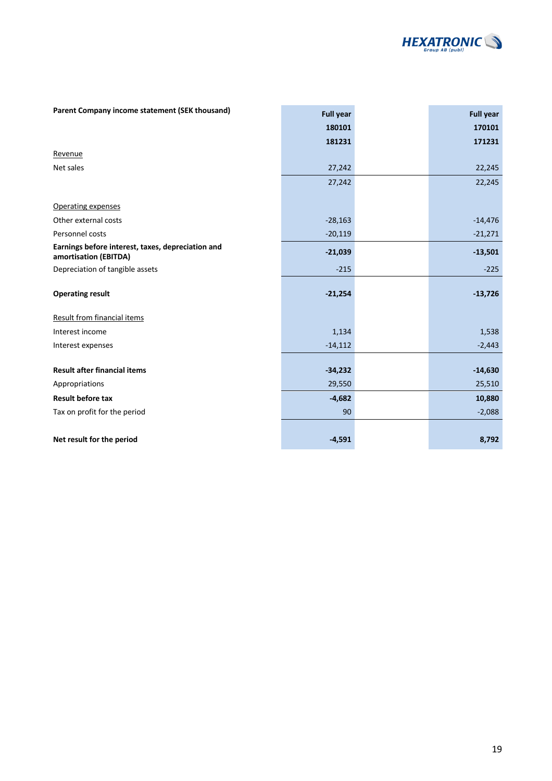

| Parent Company income statement (SEK thousand)                             | <b>Full year</b> | <b>Full year</b> |
|----------------------------------------------------------------------------|------------------|------------------|
|                                                                            | 180101           | 170101           |
|                                                                            | 181231           | 171231           |
| Revenue                                                                    |                  |                  |
| Net sales                                                                  | 27,242           | 22,245           |
|                                                                            | 27,242           | 22,245           |
|                                                                            |                  |                  |
| Operating expenses                                                         |                  |                  |
| Other external costs                                                       | $-28,163$        | $-14,476$        |
| Personnel costs                                                            | $-20,119$        | $-21,271$        |
| Earnings before interest, taxes, depreciation and<br>amortisation (EBITDA) | $-21,039$        | $-13,501$        |
| Depreciation of tangible assets                                            | $-215$           | $-225$           |
| <b>Operating result</b>                                                    | $-21,254$        | $-13,726$        |
| Result from financial items                                                |                  |                  |
| Interest income                                                            | 1,134            | 1,538            |
| Interest expenses                                                          | $-14,112$        | $-2,443$         |
|                                                                            |                  |                  |
| <b>Result after financial items</b>                                        | $-34,232$        | $-14,630$        |
| Appropriations                                                             | 29,550           | 25,510           |
| <b>Result before tax</b>                                                   | $-4,682$         | 10,880           |
| Tax on profit for the period                                               | 90               | $-2,088$         |
|                                                                            |                  |                  |
| Net result for the period                                                  | $-4,591$         | 8,792            |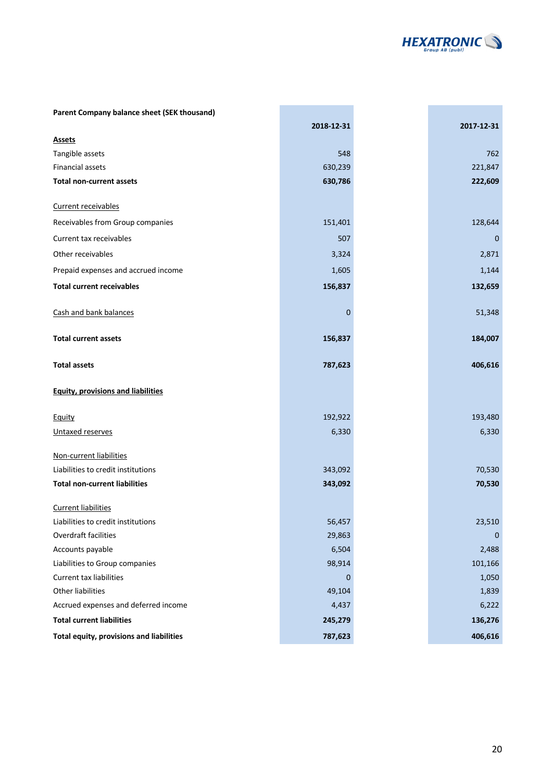

| Parent Company balance sheet (SEK thousand) |            |             |
|---------------------------------------------|------------|-------------|
|                                             | 2018-12-31 | 2017-12-31  |
| <b>Assets</b>                               |            |             |
| Tangible assets                             | 548        | 762         |
| Financial assets                            | 630,239    | 221,847     |
| <b>Total non-current assets</b>             | 630,786    | 222,609     |
| Current receivables                         |            |             |
| Receivables from Group companies            | 151,401    | 128,644     |
| Current tax receivables                     | 507        | $\mathbf 0$ |
| Other receivables                           | 3,324      | 2,871       |
| Prepaid expenses and accrued income         | 1,605      | 1,144       |
| <b>Total current receivables</b>            | 156,837    | 132,659     |
| Cash and bank balances                      | 0          | 51,348      |
| <b>Total current assets</b>                 | 156,837    | 184,007     |
| <b>Total assets</b>                         | 787,623    | 406,616     |
| <b>Equity, provisions and liabilities</b>   |            |             |
| Equity                                      | 192,922    | 193,480     |
| Untaxed reserves                            | 6,330      | 6,330       |
| Non-current liabilities                     |            |             |
| Liabilities to credit institutions          | 343,092    | 70,530      |
| <b>Total non-current liabilities</b>        | 343,092    | 70,530      |
| <b>Current liabilities</b>                  |            |             |
| Liabilities to credit institutions          | 56,457     | 23,510      |
| Overdraft facilities                        | 29,863     | 0           |
| Accounts payable                            | 6,504      | 2,488       |
| Liabilities to Group companies              | 98,914     | 101,166     |
| Current tax liabilities                     | 0          | 1,050       |
| Other liabilities                           | 49,104     | 1,839       |
| Accrued expenses and deferred income        | 4,437      | 6,222       |
| <b>Total current liabilities</b>            | 245,279    | 136,276     |
| Total equity, provisions and liabilities    | 787,623    | 406,616     |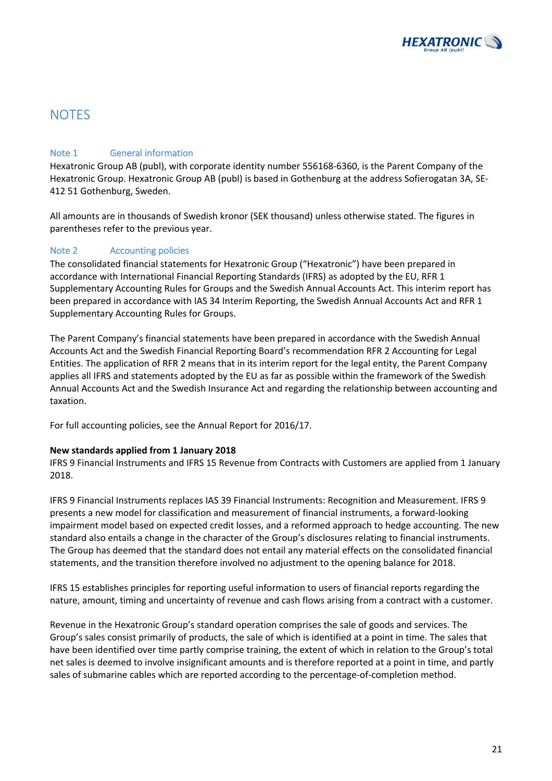

### **NOTES**

### Note 1 General information

Hexatronic Group AB (publ), with corporate identity number 556168-6360, is the Parent Company of the Hexatronic Group. Hexatronic Group AB (publ) is based in Gothenburg at the address Sofierogatan 3A, SE-412 51 Gothenburg, Sweden.

All amounts are in thousands of Swedish kronor (SEK thousand) unless otherwise stated. The figures in parentheses refer to the previous year.

### Note 2 Accounting policies

The consolidated financial statements for Hexatronic Group ("Hexatronic") have been prepared in accordance with International Financial Reporting Standards (IFRS) as adopted by the EU, RFR 1 Supplementary Accounting Rules for Groups and the Swedish Annual Accounts Act. This interim report has been prepared in accordance with IAS 34 Interim Reporting, the Swedish Annual Accounts Act and RFR 1 Supplementary Accounting Rules for Groups.

The Parent Company's financial statements have been prepared in accordance with the Swedish Annual Accounts Act and the Swedish Financial Reporting Board's recommendation RFR 2 Accounting for Legal Entities. The application of RFR 2 means that in its interim report for the legal entity, the Parent Company applies all IFRS and statements adopted by the EU as far as possible within the framework of the Swedish Annual Accounts Act and the Swedish Insurance Act and regarding the relationship between accounting and taxation.

For full accounting policies, see the Annual Report for 2016/17.

### **New standards applied from 1 January 2018**

IFRS 9 Financial Instruments and IFRS 15 Revenue from Contracts with Customers are applied from 1 January 2018.

IFRS 9 Financial Instruments replaces IAS 39 Financial Instruments: Recognition and Measurement. IFRS 9 presents a new model for classification and measurement of financial instruments, a forward-looking impairment model based on expected credit losses, and a reformed approach to hedge accounting. The new standard also entails a change in the character of the Group's disclosures relating to financial instruments. The Group has deemed that the standard does not entail any material effects on the consolidated financial statements, and the transition therefore involved no adjustment to the opening balance for 2018.

IFRS 15 establishes principles for reporting useful information to users of financial reports regarding the nature, amount, timing and uncertainty of revenue and cash flows arising from a contract with a customer.

Revenue in the Hexatronic Group's standard operation comprises the sale of goods and services. The Group's sales consist primarily of products, the sale of which is identified at a point in time. The sales that have been identified over time partly comprise training, the extent of which in relation to the Group's total net sales is deemed to involve insignificant amounts and is therefore reported at a point in time, and partly sales of submarine cables which are reported according to the percentage-of-completion method.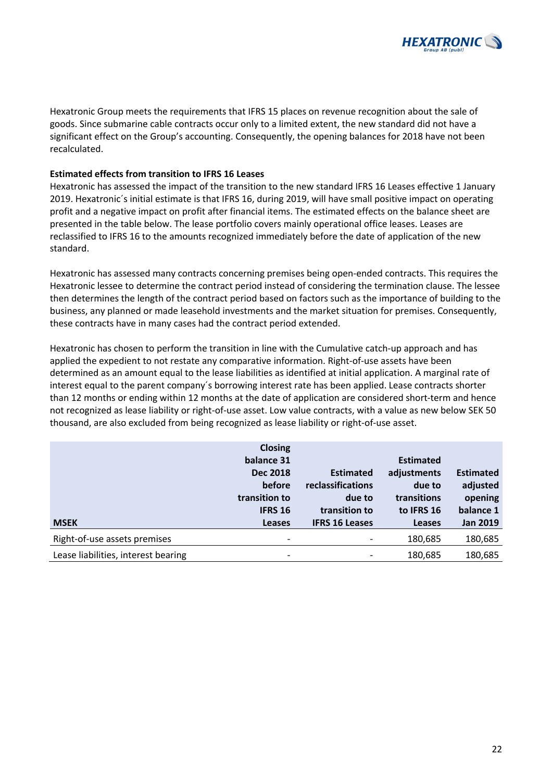

Hexatronic Group meets the requirements that IFRS 15 places on revenue recognition about the sale of goods. Since submarine cable contracts occur only to a limited extent, the new standard did not have a significant effect on the Group's accounting. Consequently, the opening balances for 2018 have not been recalculated.

### **Estimated effects from transition to IFRS 16 Leases**

Hexatronic has assessed the impact of the transition to the new standard IFRS 16 Leases effective 1 January 2019. Hexatronic´s initial estimate is that IFRS 16, during 2019, will have small positive impact on operating profit and a negative impact on profit after financial items. The estimated effects on the balance sheet are presented in the table below. The lease portfolio covers mainly operational office leases. Leases are reclassified to IFRS 16 to the amounts recognized immediately before the date of application of the new standard.

Hexatronic has assessed many contracts concerning premises being open-ended contracts. This requires the Hexatronic lessee to determine the contract period instead of considering the termination clause. The lessee then determines the length of the contract period based on factors such as the importance of building to the business, any planned or made leasehold investments and the market situation for premises. Consequently, these contracts have in many cases had the contract period extended.

Hexatronic has chosen to perform the transition in line with the Cumulative catch-up approach and has applied the expedient to not restate any comparative information. Right-of-use assets have been determined as an amount equal to the lease liabilities as identified at initial application. A marginal rate of interest equal to the parent company´s borrowing interest rate has been applied. Lease contracts shorter than 12 months or ending within 12 months at the date of application are considered short-term and hence not recognized as lease liability or right-of-use asset. Low value contracts, with a value as new below SEK 50 thousand, are also excluded from being recognized as lease liability or right-of-use asset.

|                                     | <b>Closing</b>           |                          |                  |                  |
|-------------------------------------|--------------------------|--------------------------|------------------|------------------|
|                                     | balance 31               |                          | <b>Estimated</b> |                  |
|                                     | <b>Dec 2018</b>          | <b>Estimated</b>         | adjustments      | <b>Estimated</b> |
|                                     | before                   | reclassifications        | due to           | adjusted         |
|                                     | transition to            | due to                   | transitions      | opening          |
|                                     | <b>IFRS 16</b>           | transition to            | to IFRS 16       | balance 1        |
| <b>MSEK</b>                         | <b>Leases</b>            | <b>IFRS 16 Leases</b>    | <b>Leases</b>    | <b>Jan 2019</b>  |
| Right-of-use assets premises        | $\overline{\phantom{a}}$ | $\overline{\phantom{0}}$ | 180,685          | 180,685          |
| Lease liabilities, interest bearing | $\overline{\phantom{a}}$ |                          | 180,685          | 180,685          |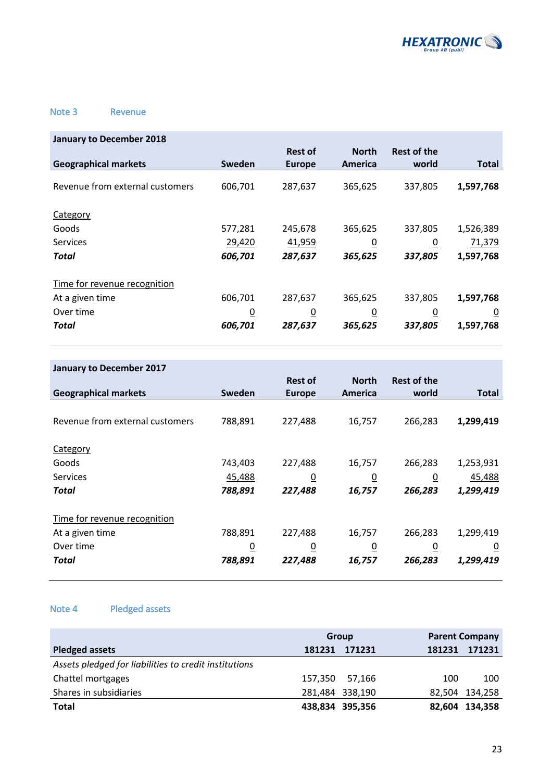

### Note 3 Revenue

| <b>January to December 2018</b> |                |                |                |                    |                |
|---------------------------------|----------------|----------------|----------------|--------------------|----------------|
|                                 |                | <b>Rest of</b> | <b>North</b>   | <b>Rest of the</b> |                |
| <b>Geographical markets</b>     | Sweden         | <b>Europe</b>  | America        | world              | <b>Total</b>   |
| Revenue from external customers | 606,701        | 287,637        | 365,625        | 337,805            | 1,597,768      |
| Category                        |                |                |                |                    |                |
| Goods                           | 577,281        | 245,678        | 365,625        | 337,805            | 1,526,389      |
| <b>Services</b>                 | 29,420         | 41,959         | $\overline{0}$ | $\overline{0}$     | 71,379         |
| Total                           | 606,701        | 287,637        | 365,625        | 337,805            | 1,597,768      |
| Time for revenue recognition    |                |                |                |                    |                |
| At a given time                 | 606,701        | 287,637        | 365,625        | 337,805            | 1,597,768      |
| Over time                       | $\overline{0}$ | $\overline{0}$ | $\overline{0}$ | $\overline{0}$     | $\overline{0}$ |
| Total                           | 606,701        | 287,637        | 365,625        | 337,805            | 1,597,768      |

| <b>January to December 2017</b> |          |                |                |                |                |
|---------------------------------|----------|----------------|----------------|----------------|----------------|
|                                 |          | <b>Rest of</b> | <b>North</b>   | Rest of the    |                |
| <b>Geographical markets</b>     | Sweden   | <b>Europe</b>  | America        | world          | <b>Total</b>   |
|                                 |          |                |                |                |                |
| Revenue from external customers | 788,891  | 227,488        | 16,757         | 266,283        | 1,299,419      |
|                                 |          |                |                |                |                |
| Category                        |          |                |                |                |                |
| Goods                           | 743,403  | 227,488        | 16,757         | 266,283        | 1,253,931      |
| <b>Services</b>                 | 45,488   | $\overline{0}$ | $\overline{0}$ | <u>0</u>       | 45,488         |
| Total                           | 788,891  | 227,488        | 16,757         | 266,283        | 1,299,419      |
| Time for revenue recognition    |          |                |                |                |                |
| At a given time                 | 788,891  | 227,488        | 16,757         | 266,283        | 1,299,419      |
| Over time                       | <u>0</u> | $\overline{0}$ | $\overline{0}$ | $\overline{0}$ | $\overline{0}$ |
| Total                           | 788,891  | 227,488        | 16,757         | 266,283        | 1,299,419      |

### Note 4 Pledged assets

|                                                       | Group  |                 |        | <b>Parent Company</b> |  |
|-------------------------------------------------------|--------|-----------------|--------|-----------------------|--|
| <b>Pledged assets</b>                                 | 181231 | 171231          | 181231 | 171231                |  |
| Assets pledged for liabilities to credit institutions |        |                 |        |                       |  |
| Chattel mortgages                                     |        | 157,350 57,166  | 100    | 100                   |  |
| Shares in subsidiaries                                |        | 281,484 338,190 |        | 82,504 134,258        |  |
| <b>Total</b>                                          |        | 438,834 395,356 |        | 82,604 134,358        |  |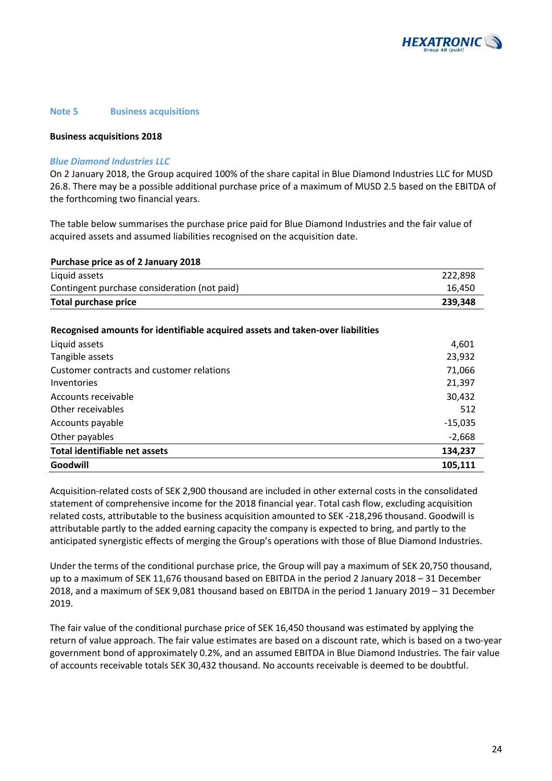

#### **Note 5 Business acquisitions**

#### **Business acquisitions 2018**

#### *Blue Diamond Industries LLC*

On 2 January 2018, the Group acquired 100% of the share capital in Blue Diamond Industries LLC for MUSD 26.8. There may be a possible additional purchase price of a maximum of MUSD 2.5 based on the EBITDA of the forthcoming two financial years.

The table below summarises the purchase price paid for Blue Diamond Industries and the fair value of acquired assets and assumed liabilities recognised on the acquisition date.

| Purchase price as of 2 January 2018          |         |
|----------------------------------------------|---------|
| Liquid assets                                | 222.898 |
| Contingent purchase consideration (not paid) | 16.450  |
| <b>Total purchase price</b>                  | 239.348 |

**Recognised amounts for identifiable acquired assets and taken-over liabilities**

| Liquid assets                             | 4,601     |
|-------------------------------------------|-----------|
| Tangible assets                           | 23,932    |
| Customer contracts and customer relations | 71,066    |
| Inventories                               | 21,397    |
| Accounts receivable                       | 30,432    |
| Other receivables                         | 512       |
| Accounts payable                          | $-15,035$ |
| Other payables                            | $-2,668$  |
| <b>Total identifiable net assets</b>      | 134,237   |
| Goodwill                                  | 105,111   |

Acquisition-related costs of SEK 2,900 thousand are included in other external costs in the consolidated statement of comprehensive income for the 2018 financial year. Total cash flow, excluding acquisition related costs, attributable to the business acquisition amounted to SEK -218,296 thousand. Goodwill is attributable partly to the added earning capacity the company is expected to bring, and partly to the anticipated synergistic effects of merging the Group's operations with those of Blue Diamond Industries.

Under the terms of the conditional purchase price, the Group will pay a maximum of SEK 20,750 thousand, up to a maximum of SEK 11,676 thousand based on EBITDA in the period 2 January 2018 – 31 December 2018, and a maximum of SEK 9,081 thousand based on EBITDA in the period 1 January 2019 – 31 December 2019.

The fair value of the conditional purchase price of SEK 16,450 thousand was estimated by applying the return of value approach. The fair value estimates are based on a discount rate, which is based on a two-year government bond of approximately 0.2%, and an assumed EBITDA in Blue Diamond Industries. The fair value of accounts receivable totals SEK 30,432 thousand. No accounts receivable is deemed to be doubtful.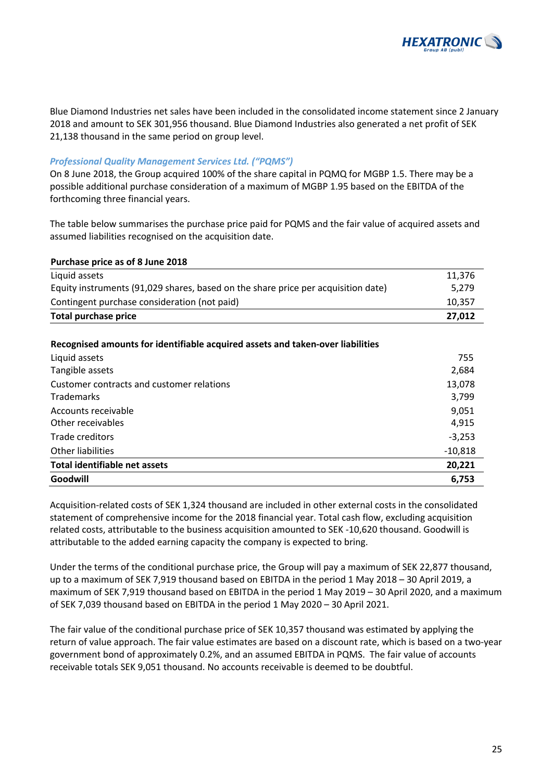

Blue Diamond Industries net sales have been included in the consolidated income statement since 2 January 2018 and amount to SEK 301,956 thousand. Blue Diamond Industries also generated a net profit of SEK 21,138 thousand in the same period on group level.

### *Professional Quality Management Services Ltd. ("PQMS")*

On 8 June 2018, the Group acquired 100% of the share capital in PQMQ for MGBP 1.5. There may be a possible additional purchase consideration of a maximum of MGBP 1.95 based on the EBITDA of the forthcoming three financial years.

The table below summarises the purchase price paid for PQMS and the fair value of acquired assets and assumed liabilities recognised on the acquisition date.

| Purchase price as of 8 June 2018                                                  |        |
|-----------------------------------------------------------------------------------|--------|
| Liquid assets                                                                     | 11.376 |
| Equity instruments (91,029 shares, based on the share price per acquisition date) | 5,279  |
| Contingent purchase consideration (not paid)                                      | 10.357 |
| <b>Total purchase price</b>                                                       | 27.012 |

#### **Recognised amounts for identifiable acquired assets and taken-over liabilities**

| Liquid assets                             | 755       |
|-------------------------------------------|-----------|
| Tangible assets                           | 2,684     |
| Customer contracts and customer relations | 13,078    |
| <b>Trademarks</b>                         | 3,799     |
| Accounts receivable                       | 9,051     |
| Other receivables                         | 4,915     |
| Trade creditors                           | $-3,253$  |
| Other liabilities                         | $-10,818$ |
| Total identifiable net assets             | 20,221    |
| Goodwill                                  | 6.753     |

Acquisition-related costs of SEK 1,324 thousand are included in other external costs in the consolidated statement of comprehensive income for the 2018 financial year. Total cash flow, excluding acquisition related costs, attributable to the business acquisition amounted to SEK -10,620 thousand. Goodwill is attributable to the added earning capacity the company is expected to bring.

Under the terms of the conditional purchase price, the Group will pay a maximum of SEK 22,877 thousand, up to a maximum of SEK 7,919 thousand based on EBITDA in the period 1 May 2018 – 30 April 2019, a maximum of SEK 7,919 thousand based on EBITDA in the period 1 May 2019 – 30 April 2020, and a maximum of SEK 7,039 thousand based on EBITDA in the period 1 May 2020 – 30 April 2021.

The fair value of the conditional purchase price of SEK 10,357 thousand was estimated by applying the return of value approach. The fair value estimates are based on a discount rate, which is based on a two-year government bond of approximately 0.2%, and an assumed EBITDA in PQMS. The fair value of accounts receivable totals SEK 9,051 thousand. No accounts receivable is deemed to be doubtful.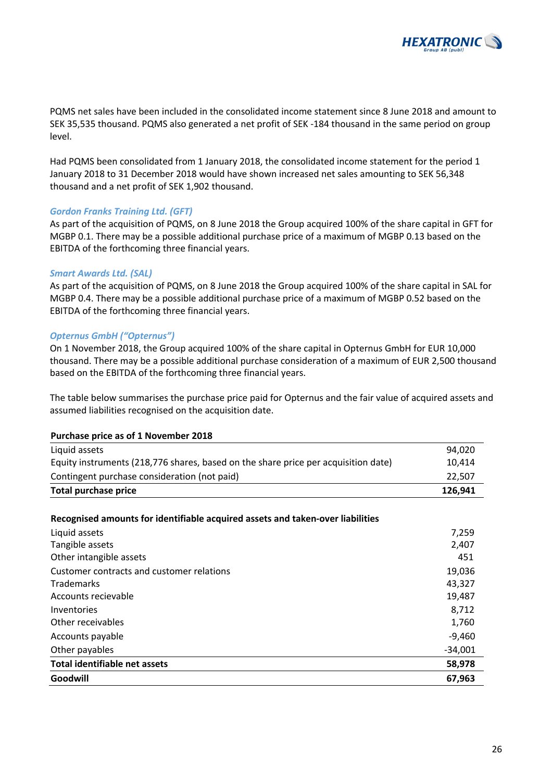

PQMS net sales have been included in the consolidated income statement since 8 June 2018 and amount to SEK 35,535 thousand. PQMS also generated a net profit of SEK -184 thousand in the same period on group level.

Had PQMS been consolidated from 1 January 2018, the consolidated income statement for the period 1 January 2018 to 31 December 2018 would have shown increased net sales amounting to SEK 56,348 thousand and a net profit of SEK 1,902 thousand.

### *Gordon Franks Training Ltd. (GFT)*

As part of the acquisition of PQMS, on 8 June 2018 the Group acquired 100% of the share capital in GFT for MGBP 0.1. There may be a possible additional purchase price of a maximum of MGBP 0.13 based on the EBITDA of the forthcoming three financial years.

#### *Smart Awards Ltd. (SAL)*

As part of the acquisition of PQMS, on 8 June 2018 the Group acquired 100% of the share capital in SAL for MGBP 0.4. There may be a possible additional purchase price of a maximum of MGBP 0.52 based on the EBITDA of the forthcoming three financial years.

#### *Opternus GmbH ("Opternus")*

On 1 November 2018, the Group acquired 100% of the share capital in Opternus GmbH for EUR 10,000 thousand. There may be a possible additional purchase consideration of a maximum of EUR 2,500 thousand based on the EBITDA of the forthcoming three financial years.

The table below summarises the purchase price paid for Opternus and the fair value of acquired assets and assumed liabilities recognised on the acquisition date.

#### **Purchase price as of 1 November 2018**

| Total purchase price                                                               | 126.941 |
|------------------------------------------------------------------------------------|---------|
| Contingent purchase consideration (not paid)                                       | 22.507  |
| Equity instruments (218,776 shares, based on the share price per acquisition date) | 10.414  |
| Liquid assets                                                                      | 94.020  |

#### **Recognised amounts for identifiable acquired assets and taken-over liabilities**

| Goodwill                                  | 67,963    |
|-------------------------------------------|-----------|
| Total identifiable net assets             | 58,978    |
| Other payables                            | $-34,001$ |
| Accounts payable                          | $-9,460$  |
| Other receivables                         | 1,760     |
| Inventories                               | 8,712     |
| Accounts recievable                       | 19,487    |
| <b>Trademarks</b>                         | 43,327    |
| Customer contracts and customer relations | 19,036    |
| Other intangible assets                   | 451       |
| Tangible assets                           | 2,407     |
| Liquid assets                             | 7,259     |
|                                           |           |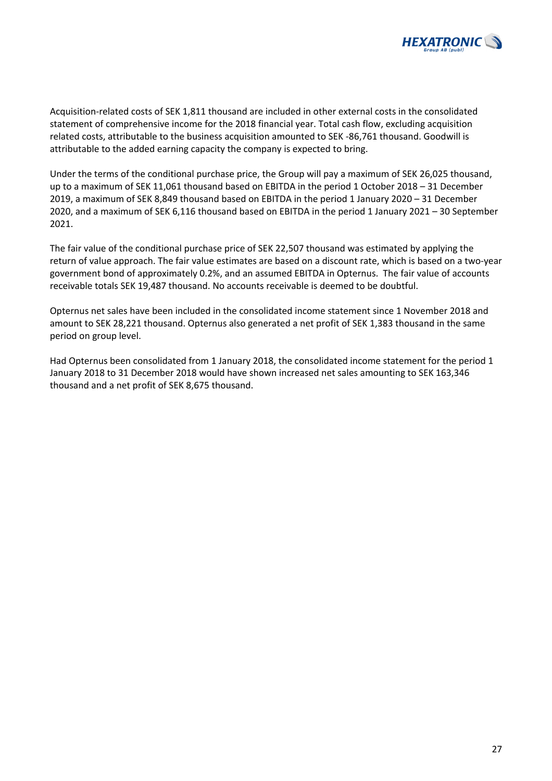

Acquisition-related costs of SEK 1,811 thousand are included in other external costs in the consolidated statement of comprehensive income for the 2018 financial year. Total cash flow, excluding acquisition related costs, attributable to the business acquisition amounted to SEK -86,761 thousand. Goodwill is attributable to the added earning capacity the company is expected to bring.

Under the terms of the conditional purchase price, the Group will pay a maximum of SEK 26,025 thousand, up to a maximum of SEK 11,061 thousand based on EBITDA in the period 1 October 2018 – 31 December 2019, a maximum of SEK 8,849 thousand based on EBITDA in the period 1 January 2020 – 31 December 2020, and a maximum of SEK 6,116 thousand based on EBITDA in the period 1 January 2021 – 30 September 2021.

The fair value of the conditional purchase price of SEK 22,507 thousand was estimated by applying the return of value approach. The fair value estimates are based on a discount rate, which is based on a two-year government bond of approximately 0.2%, and an assumed EBITDA in Opternus. The fair value of accounts receivable totals SEK 19,487 thousand. No accounts receivable is deemed to be doubtful.

Opternus net sales have been included in the consolidated income statement since 1 November 2018 and amount to SEK 28,221 thousand. Opternus also generated a net profit of SEK 1,383 thousand in the same period on group level.

Had Opternus been consolidated from 1 January 2018, the consolidated income statement for the period 1 January 2018 to 31 December 2018 would have shown increased net sales amounting to SEK 163,346 thousand and a net profit of SEK 8,675 thousand.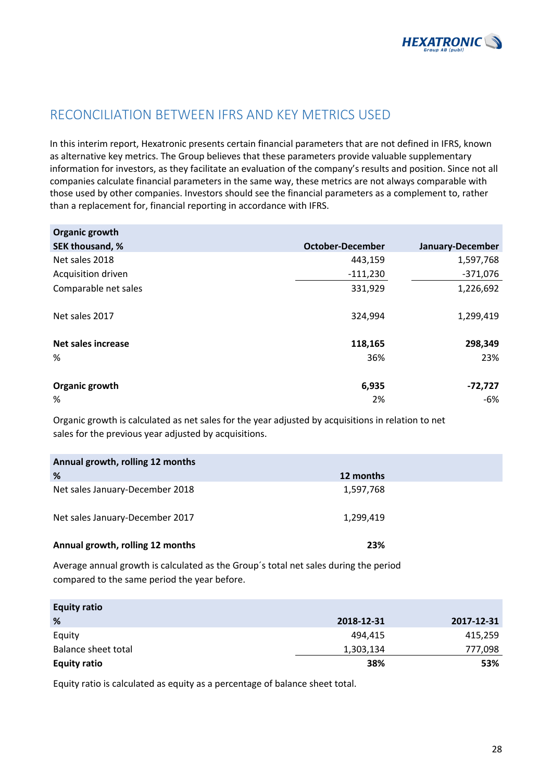

# RECONCILIATION BETWEEN IFRS AND KEY METRICS USED

In this interim report, Hexatronic presents certain financial parameters that are not defined in IFRS, known as alternative key metrics. The Group believes that these parameters provide valuable supplementary information for investors, as they facilitate an evaluation of the company's results and position. Since not all companies calculate financial parameters in the same way, these metrics are not always comparable with those used by other companies. Investors should see the financial parameters as a complement to, rather than a replacement for, financial reporting in accordance with IFRS.

| Organic growth            |                         |                  |
|---------------------------|-------------------------|------------------|
| SEK thousand, %           | <b>October-December</b> | January-December |
| Net sales 2018            | 443,159                 | 1,597,768        |
| Acquisition driven        | $-111,230$              | $-371,076$       |
| Comparable net sales      | 331,929                 | 1,226,692        |
| Net sales 2017            | 324,994                 | 1,299,419        |
| <b>Net sales increase</b> | 118,165                 | 298,349          |
| %                         | 36%                     | 23%              |
| Organic growth            | 6,935                   | $-72,727$        |
| %                         | 2%                      | -6%              |

Organic growth is calculated as net sales for the year adjusted by acquisitions in relation to net sales for the previous year adjusted by acquisitions.

| Annual growth, rolling 12 months |           |  |
|----------------------------------|-----------|--|
| %                                | 12 months |  |
| Net sales January-December 2018  | 1,597,768 |  |
| Net sales January-December 2017  | 1,299,419 |  |
| Annual growth, rolling 12 months | 23%       |  |

Average annual growth is calculated as the Group´s total net sales during the period compared to the same period the year before.

| <b>Equity ratio</b> |            |            |
|---------------------|------------|------------|
| %                   | 2018-12-31 | 2017-12-31 |
| Equity              | 494,415    | 415,259    |
| Balance sheet total | 1,303,134  | 777,098    |
| <b>Equity ratio</b> | 38%        | 53%        |

Equity ratio is calculated as equity as a percentage of balance sheet total.